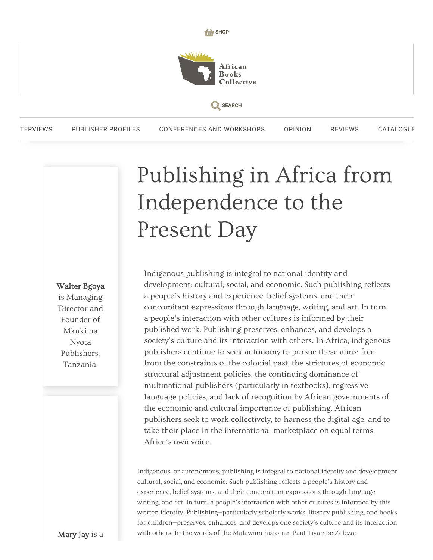



[TERVIEWS](https://www.readafricanbooks.com/interviews/) [PUBLISHER](https://www.readafricanbooks.com/publisher-profiles/) PROFILES [CONFERENCES](https://www.readafricanbooks.com/conferences-and-workshops/) AND WORKSHOPS [OPINION](https://www.readafricanbooks.com/opinion/) [REVIEWS](https://www.readafricanbooks.com/reviews/) [CATALOGUE](https://www.readafricanbooks.com/catalogues/)

# Publishing in Africa from Independence to the Present Day

Indigenous publishing is integral to national identity and development: cultural, social, and economic. Such publishing reflects a people's history and experience, belief systems, and their concomitant expressions through language, writing, and art. In turn, a people's interaction with other cultures is informed by their published work. Publishing preserves, enhances, and develops a society's culture and its interaction with others. In Africa, indigenous publishers continue to seek autonomy to pursue these aims: free from the constraints of the colonial past, the strictures of economic structural adjustment policies, the continuing dominance of multinational publishers (particularly in textbooks), regressive language policies, and lack of recognition by African governments of the economic and cultural importance of publishing. African publishers seek to work collectively, to harness the digital age, and to take their place in the international marketplace on equal terms, Africa's own voice.

Indigenous, or autonomous, publishing is integral to national identity and development: cultural, social, and economic. Such publishing reflects a people's history and experience, belief systems, and their concomitant expressions through language, writing, and art. In turn, a people's interaction with other cultures is informed by this written identity. Publishing—particularly scholarly works, literary publishing, and books for children—preserves, enhances, and develops one society's culture and its interaction with others. In the words of the Malawian historian Paul Tiyambe Zeleza:

Walter Bgoya

is Managing Director and Founder of Mkuki na Nyota Publishers, Tanzania.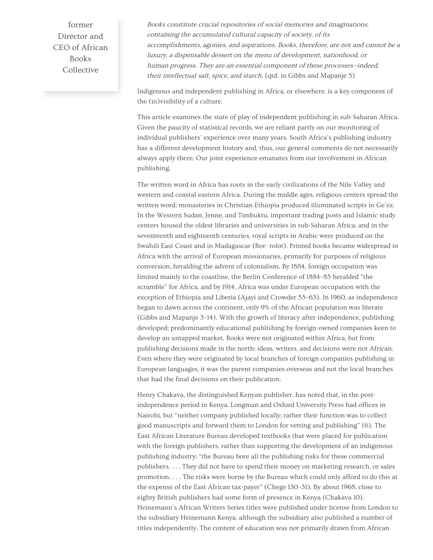former Director and CEO of African Books Collective

Books constitute crucial repositories of social memories and imaginations, containing the accumulated cultural capacity of society, of its accomplishments, agonies, and aspirations. Books, therefore, are not and cannot be a luxury, a dispensable dessert on the menu of development, nationhood, or human progress. They are an essential component of these processes—indeed, their intellectual salt, spice, and starch. (qtd. in Gibbs and Mapanje 5)

Indigenous and independent publishing in Africa, or elsewhere, is a key component of the (in)visibility of a culture.

This article examines the state of play of independent publishing in sub-Saharan Africa. Given the paucity of statistical records, we are reliant partly on our monitoring of individual publishers' experience over many years. South Africa's publishing industry has a different development history and, thus, our general comments do not necessarily always apply there. Our joint experience emanates from our involvement in African publishing.

The written word in Africa has roots in the early civilizations of the Nile Valley and western and coastal eastern Africa. During the middle ages, religious centers spread the written word; monasteries in Christian Ethiopia produced illuminated scripts in Ge'ez. In the Western Sudan, Jenne, and Timbuktu, important trading posts and Islamic study centers housed the oldest libraries and universities in sub-Saharan Africa; and in the seventeenth and eighteenth centuries, royal scripts in Arabic were produced on the Swahili East Coast and in Madagascar (Bor- tolot). Printed books became widespread in Africa with the arrival of European missionaries, primarily for purposes of religious conversion, heralding the advent of colonialism. By 1884, foreign occupation was limited mainly to the coastline, the Berlin Conference of 1884–85 heralded "the scramble" for Africa, and by 1914, Africa was under European occupation with the exception of Ethiopia and Liberia (Ajayi and Crowder 55–63). In 1960, as independence began to dawn across the continent, only 9% of the African population was literate (Gibbs and Mapanje 3–14). With the growth of literacy after independence, publishing developed; predominantly educational publishing by foreign-owned companies keen to develop an untapped market. Books were not originated within Africa, but from publishing decisions made in the north: ideas, writers, and decisions were not African. Even where they were originated by local branches of foreign companies publishing in European languages, it was the parent companies overseas and not the local branches that had the final decisions on their publication.

Henry Chakava, the distinguished Kenyan publisher, has noted that, in the postindependence period in Kenya, Longman and Oxford University Press had offices in Nairobi, but "neither company published locally; rather their function was to collect good manuscripts and forward them to London for vetting and publishing" (6). The East African Literature Bureau developed textbooks that were placed for publication with the foreign publishers, rather than supporting the development of an indigenous publishing industry: "the Bureau bore all the publishing risks for these commercial publishers. . . . They did not have to spend their money on marketing research, or sales promotion. . . . The risks were borne by the Bureau which could only afford to do this at the expense of the East African tax-payer" (Chege 130–31). By about 1968, close to eighty British publishers had some form of presence in Kenya (Chakava 10). Heinemann's African Writers Series titles were published under license from London to the subsidiary Heinemann Kenya, although the subsidiary also published a number of titles independently. The content of education was not primarily drawn from African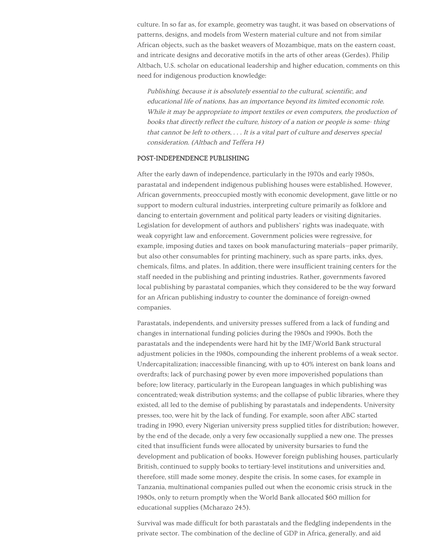culture. In so far as, for example, geometry was taught, it was based on observations of patterns, designs, and models from Western material culture and not from similar African objects, such as the basket weavers of Mozambique, mats on the eastern coast, and intricate designs and decorative motifs in the arts of other areas (Gerdes). Philip Altbach, U.S. scholar on educational leadership and higher education, comments on this need for indigenous production knowledge:

Publishing, because it is absolutely essential to the cultural, scientific, and educational life of nations, has an importance beyond its limited economic role. While it may be appropriate to import textiles or even computers, the production of books that directly reflect the culture, history of a nation or people is some- thing that cannot be left to others, . . . It is a vital part of culture and deserves special consideration. (Altbach and Teffera 14)

#### POST-INDEPENDENCE PUBLISHING

After the early dawn of independence, particularly in the 1970s and early 1980s, parastatal and independent indigenous publishing houses were established. However, African governments, preoccupied mostly with economic development, gave little or no support to modern cultural industries, interpreting culture primarily as folklore and dancing to entertain government and political party leaders or visiting dignitaries. Legislation for development of authors and publishers' rights was inadequate, with weak copyright law and enforcement. Government policies were regressive, for example, imposing duties and taxes on book manufacturing materials—paper primarily, but also other consumables for printing machinery, such as spare parts, inks, dyes, chemicals, films, and plates. In addition, there were insufficient training centers for the staff needed in the publishing and printing industries. Rather, governments favored local publishing by parastatal companies, which they considered to be the way forward for an African publishing industry to counter the dominance of foreign-owned companies.

Parastatals, independents, and university presses suffered from a lack of funding and changes in international funding policies during the 1980s and 1990s. Both the parastatals and the independents were hard hit by the IMF/World Bank structural adjustment policies in the 1980s, compounding the inherent problems of a weak sector. Undercapitalization; inaccessible financing, with up to 40% interest on bank loans and overdrafts; lack of purchasing power by even more impoverished populations than before; low literacy, particularly in the European languages in which publishing was concentrated; weak distribution systems; and the collapse of public libraries, where they existed, all led to the demise of publishing by parastatals and independents. University presses, too, were hit by the lack of funding. For example, soon after ABC started trading in 1990, every Nigerian university press supplied titles for distribution; however, by the end of the decade, only a very few occasionally supplied a new one. The presses cited that insufficient funds were allocated by university bursaries to fund the development and publication of books. However foreign publishing houses, particularly British, continued to supply books to tertiary-level institutions and universities and, therefore, still made some money, despite the crisis. In some cases, for example in Tanzania, multinational companies pulled out when the economic crisis struck in the 1980s, only to return promptly when the World Bank allocated \$60 million for educational supplies (Mcharazo 245).

Survival was made difficult for both parastatals and the fledgling independents in the private sector. The combination of the decline of GDP in Africa, generally, and aid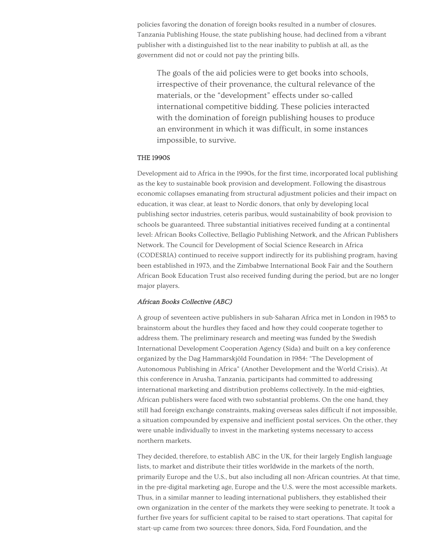policies favoring the donation of foreign books resulted in a number of closures. Tanzania Publishing House, the state publishing house, had declined from a vibrant publisher with a distinguished list to the near inability to publish at all, as the government did not or could not pay the printing bills.

The goals of the aid policies were to get books into schools, irrespective of their provenance, the cultural relevance of the materials, or the "development" effects under so-called international competitive bidding. These policies interacted with the domination of foreign publishing houses to produce an environment in which it was difficult, in some instances impossible, to survive.

#### THE 1990S

Development aid to Africa in the 1990s, for the first time, incorporated local publishing as the key to sustainable book provision and development. Following the disastrous economic collapses emanating from structural adjustment policies and their impact on education, it was clear, at least to Nordic donors, that only by developing local publishing sector industries, ceteris paribus, would sustainability of book provision to schools be guaranteed. Three substantial initiatives received funding at a continental level: African Books Collective, Bellagio Publishing Network, and the African Publishers Network. The Council for Development of Social Science Research in Africa (CODESRIA) continued to receive support indirectly for its publishing program, having been established in 1973, and the Zimbabwe International Book Fair and the Southern African Book Education Trust also received funding during the period, but are no longer major players.

#### African Books Collective (ABC)

A group of seventeen active publishers in sub-Saharan Africa met in London in 1985 to brainstorm about the hurdles they faced and how they could cooperate together to address them. The preliminary research and meeting was funded by the Swedish International Development Cooperation Agency (Sida) and built on a key conference organized by the Dag Hammarskjöld Foundation in 1984: "The Development of Autonomous Publishing in Africa" (Another Development and the World Crisis). At this conference in Arusha, Tanzania, participants had committed to addressing international marketing and distribution problems collectively. In the mid-eighties, African publishers were faced with two substantial problems. On the one hand, they still had foreign exchange constraints, making overseas sales difficult if not impossible, a situation compounded by expensive and inefficient postal services. On the other, they were unable individually to invest in the marketing systems necessary to access northern markets.

They decided, therefore, to establish ABC in the UK, for their largely English language lists, to market and distribute their titles worldwide in the markets of the north, primarily Europe and the U.S., but also including all non-African countries. At that time, in the pre-digital marketing age, Europe and the U.S. were the most accessible markets. Thus, in a similar manner to leading international publishers, they established their own organization in the center of the markets they were seeking to penetrate. It took a further five years for sufficient capital to be raised to start operations. That capital for start-up came from two sources: three donors, Sida, Ford Foundation, and the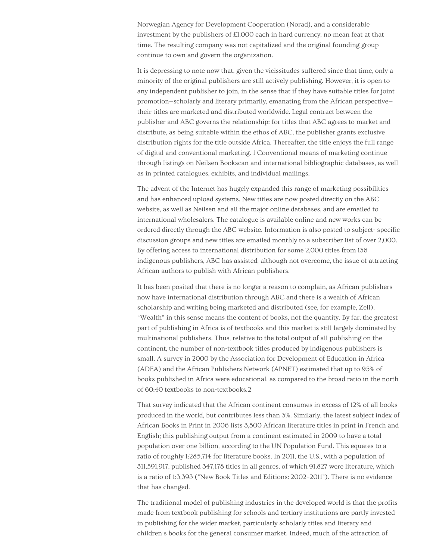Norwegian Agency for Development Cooperation (Norad), and a considerable investment by the publishers of £1,000 each in hard currency, no mean feat at that time. The resulting company was not capitalized and the original founding group continue to own and govern the organization.

It is depressing to note now that, given the vicissitudes suffered since that time, only a minority of the original publishers are still actively publishing. However, it is open to any independent publisher to join, in the sense that if they have suitable titles for joint promotion—scholarly and literary primarily, emanating from the African perspective their titles are marketed and distributed worldwide. Legal contract between the publisher and ABC governs the relationship: for titles that ABC agrees to market and distribute, as being suitable within the ethos of ABC, the publisher grants exclusive distribution rights for the title outside Africa. Thereafter, the title enjoys the full range of digital and conventional marketing. 1 Conventional means of marketing continue through listings on Neilsen Bookscan and international bibliographic databases, as well as in printed catalogues, exhibits, and individual mailings.

The advent of the Internet has hugely expanded this range of marketing possibilities and has enhanced upload systems. New titles are now posted directly on the ABC website, as well as Neilsen and all the major online databases, and are emailed to international wholesalers. The catalogue is available online and new works can be ordered directly through the ABC website. Information is also posted to subject- specific discussion groups and new titles are emailed monthly to a subscriber list of over 2,000. By offering access to international distribution for some 2,000 titles from 136 indigenous publishers, ABC has assisted, although not overcome, the issue of attracting African authors to publish with African publishers.

It has been posited that there is no longer a reason to complain, as African publishers now have international distribution through ABC and there is a wealth of African scholarship and writing being marketed and distributed (see, for example, Zell). "Wealth" in this sense means the content of books, not the quantity. By far, the greatest part of publishing in Africa is of textbooks and this market is still largely dominated by multinational publishers. Thus, relative to the total output of all publishing on the continent, the number of non-textbook titles produced by indigenous publishers is small. A survey in 2000 by the Association for Development of Education in Africa (ADEA) and the African Publishers Network (APNET) estimated that up to 95% of books published in Africa were educational, as compared to the broad ratio in the north of 60:40 textbooks to non-textbooks.2

That survey indicated that the African continent consumes in excess of 12% of all books produced in the world, but contributes less than 3%. Similarly, the latest subject index of African Books in Print in 2006 lists 3,500 African literature titles in print in French and English; this publishing output from a continent estimated in 2009 to have a total population over one billion, according to the UN Population Fund. This equates to a ratio of roughly 1:285,714 for literature books. In 2011, the U.S., with a population of 311,591,917, published 347,178 titles in all genres, of which 91,827 were literature, which is a ratio of 1:3,393 ("New Book Titles and Editions: 2002–2011"). There is no evidence that has changed.

The traditional model of publishing industries in the developed world is that the profits made from textbook publishing for schools and tertiary institutions are partly invested in publishing for the wider market, particularly scholarly titles and literary and children's books for the general consumer market. Indeed, much of the attraction of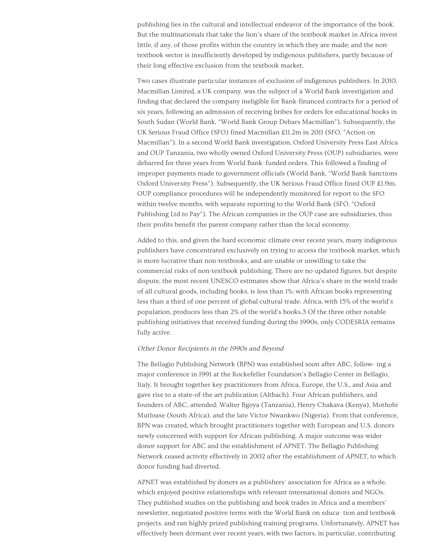publishing lies in the cultural and intellectual endeavor of the importance of the book. But the multinationals that take the lion's share of the textbook market in Africa invest little, if any, of those profits within the country in which they are made; and the nontextbook sector is insufficiently developed by indigenous publishers, partly because of their long effective exclusion from the textbook market.

Two cases illustrate particular instances of exclusion of indigenous publishers. In 2010, Macmillan Limited, a UK company, was the subject of a World Bank investigation and finding that declared the company ineligible for Bank-financed contracts for a period of six years, following an admission of receiving bribes for orders for educational books in South Sudan (World Bank, "World Bank Group Debars Macmillan"). Subsequently, the UK Serious Fraud Office (SFO) fined Macmillan £11.2m in 2011 (SFO, "Action on Macmillan"). In a second World Bank investigation, Oxford University Press East Africa and OUP Tanzania, two wholly owned Oxford University Press (OUP) subsidiaries, were debarred for three years from World Bank–funded orders. This followed a finding of improper payments made to government officials (World Bank, "World Bank Sanctions Oxford University Press"). Subsequently, the UK Serious Fraud Office fined OUP £1.9m. OUP compliance procedures will be independently monitored for report to the SFO within twelve months, with separate reporting to the World Bank (SFO, "Oxford Publishing Ltd to Pay"). The African companies in the OUP case are subsidiaries, thus their profits benefit the parent company rather than the local economy.

Added to this, and given the hard economic climate over recent years, many indigenous publishers have concentrated exclusively on trying to access the textbook market, which is more lucrative than non-textbooks, and are unable or unwilling to take the commercial risks of non-textbook publishing. There are no updated figures, but despite dispute, the most recent UNESCO estimates show that Africa's share in the world trade of all cultural goods, including books, is less than 1%; with African books representing less than a third of one percent of global cultural trade. Africa, with 15% of the world's population, produces less than 2% of the world's books.3 Of the three other notable publishing initiatives that received funding during the 1990s, only CODESRIA remains fully active.

#### Other Donor Recipients in the 1990s and Beyond

The Bellagio Publishing Network (BPN) was established soon after ABC, follow- ing a major conference in 1991 at the Rockefeller Foundation's Bellagio Center in Bellagio, Italy. It brought together key practitioners from Africa, Europe, the U.S., and Asia and gave rise to a state-of-the art publication (Altbach). Four African publishers, and founders of ABC, attended: Walter Bgoya (Tanzania), Henry Chakava (Kenya), Mothobi Mutloase (South Africa), and the late Victor Nwankwo (Nigeria). From that conference, BPN was created, which brought practitioners together with European and U.S. donors newly concerned with support for African publishing. A major outcome was wider donor support for ABC and the establishment of APNET. The Bellagio Publishing Network ceased activity effectively in 2002 after the establishment of APNET, to which donor funding had diverted.

APNET was established by donors as a publishers' association for Africa as a whole, which enjoyed positive relationships with relevant international donors and NGOs. They published studies on the publishing and book trades in Africa and a members' newsletter, negotiated positive terms with the World Bank on educa- tion and textbook projects, and ran highly prized publishing training programs. Unfortunately, APNET has effectively been dormant over recent years, with two factors, in particular, contributing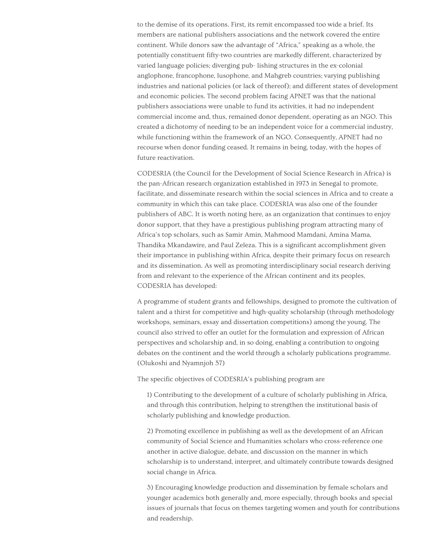to the demise of its operations. First, its remit encompassed too wide a brief. Its members are national publishers associations and the network covered the entire continent. While donors saw the advantage of "Africa," speaking as a whole, the potentially constituent fifty-two countries are markedly different, characterized by varied language policies; diverging pub- lishing structures in the ex-colonial anglophone, francophone, lusophone, and Mahgreb countries; varying publishing industries and national policies (or lack of thereof); and different states of development and economic policies. The second problem facing APNET was that the national publishers associations were unable to fund its activities, it had no independent commercial income and, thus, remained donor dependent, operating as an NGO. This created a dichotomy of needing to be an independent voice for a commercial industry, while functioning within the framework of an NGO. Consequently, APNET had no recourse when donor funding ceased. It remains in being, today, with the hopes of future reactivation.

CODESRIA (the Council for the Development of Social Science Research in Africa) is the pan-African research organization established in 1973 in Senegal to promote, facilitate, and disseminate research within the social sciences in Africa and to create a community in which this can take place. CODESRIA was also one of the founder publishers of ABC. It is worth noting here, as an organization that continues to enjoy donor support, that they have a prestigious publishing program attracting many of Africa's top scholars, such as Samir Amin, Mahmood Mamdani, Amina Mama, Thandika Mkandawire, and Paul Zeleza. This is a significant accomplishment given their importance in publishing within Africa, despite their primary focus on research and its dissemination. As well as promoting interdisciplinary social research deriving from and relevant to the experience of the African continent and its peoples, CODESRIA has developed:

A programme of student grants and fellowships, designed to promote the cultivation of talent and a thirst for competitive and high-quality scholarship (through methodology workshops, seminars, essay and dissertation competitions) among the young. The council also strived to offer an outlet for the formulation and expression of African perspectives and scholarship and, in so doing, enabling a contribution to ongoing debates on the continent and the world through a scholarly publications programme. (Olukoshi and Nyamnjoh 57)

The specific objectives of CODESRIA's publishing program are

1) Contributing to the development of a culture of scholarly publishing in Africa, and through this contribution, helping to strengthen the institutional basis of scholarly publishing and knowledge production.

2) Promoting excellence in publishing as well as the development of an African community of Social Science and Humanities scholars who cross-reference one another in active dialogue, debate, and discussion on the manner in which scholarship is to understand, interpret, and ultimately contribute towards designed social change in Africa.

3) Encouraging knowledge production and dissemination by female scholars and younger academics both generally and, more especially, through books and special issues of journals that focus on themes targeting women and youth for contributions and readership.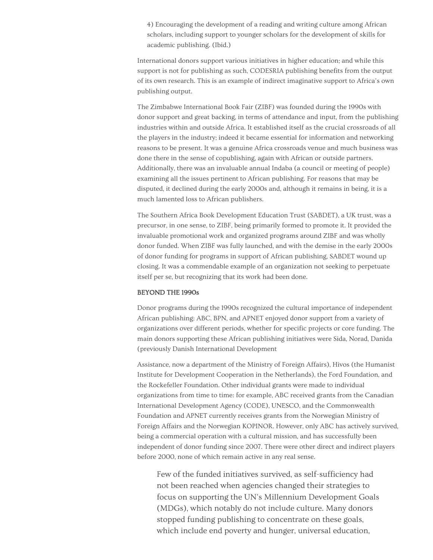4) Encouraging the development of a reading and writing culture among African scholars, including support to younger scholars for the development of skills for academic publishing. (Ibid.)

International donors support various initiatives in higher education; and while this support is not for publishing as such, CODESRIA publishing benefits from the output of its own research. This is an example of indirect imaginative support to Africa's own publishing output.

The Zimbabwe International Book Fair (ZIBF) was founded during the 1990s with donor support and great backing, in terms of attendance and input, from the publishing industries within and outside Africa. It established itself as the crucial crossroads of all the players in the industry; indeed it became essential for information and networking reasons to be present. It was a genuine Africa crossroads venue and much business was done there in the sense of copublishing, again with African or outside partners. Additionally, there was an invaluable annual Indaba (a council or meeting of people) examining all the issues pertinent to African publishing. For reasons that may be disputed, it declined during the early 2000s and, although it remains in being, it is a much lamented loss to African publishers.

The Southern Africa Book Development Education Trust (SABDET), a UK trust, was a precursor, in one sense, to ZIBF, being primarily formed to promote it. It provided the invaluable promotional work and organized programs around ZIBF and was wholly donor funded. When ZIBF was fully launched, and with the demise in the early 2000s of donor funding for programs in support of African publishing, SABDET wound up closing. It was a commendable example of an organization not seeking to perpetuate itself per se, but recognizing that its work had been done.

#### BEYOND THE 1990s

Donor programs during the 1990s recognized the cultural importance of independent African publishing: ABC, BPN, and APNET enjoyed donor support from a variety of organizations over different periods, whether for specific projects or core funding. The main donors supporting these African publishing initiatives were Sida, Norad, Danida (previously Danish International Development

Assistance, now a department of the Ministry of Foreign Affairs), Hivos (the Humanist Institute for Development Cooperation in the Netherlands), the Ford Foundation, and the Rockefeller Foundation. Other individual grants were made to individual organizations from time to time: for example, ABC received grants from the Canadian International Development Agency (CODE), UNESCO, and the Commonwealth Foundation and APNET currently receives grants from the Norwegian Ministry of Foreign Affairs and the Norwegian KOPINOR. However, only ABC has actively survived, being a commercial operation with a cultural mission, and has successfully been independent of donor funding since 2007. There were other direct and indirect players before 2000, none of which remain active in any real sense.

Few of the funded initiatives survived, as self-sufficiency had not been reached when agencies changed their strategies to focus on supporting the UN's Millennium Development Goals (MDGs), which notably do not include culture. Many donors stopped funding publishing to concentrate on these goals, which include end poverty and hunger, universal education,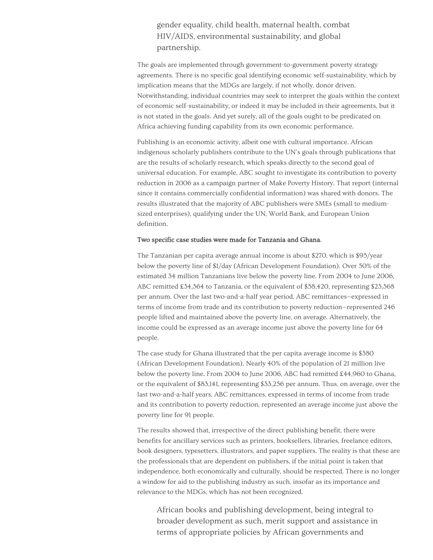gender equality, child health, maternal health, combat HIV/AIDS, environmental sustainability, and global partnership.

The goals are implemented through government-to-government poverty strategy agreements. There is no specific goal identifying economic self-sustainability, which by implication means that the MDGs are largely, if not wholly, donor driven. Notwithstanding, individual countries may seek to interpret the goals within the context of economic self-sustainability, or indeed it may be included in their agreements, but it is not stated in the goals. And yet surely, all of the goals ought to be predicated on Africa achieving funding capability from its own economic performance.

Publishing is an economic activity, albeit one with cultural importance. African indigenous scholarly publishers contribute to the UN's goals through publications that are the results of scholarly research, which speaks directly to the second goal of universal education. For example, ABC sought to investigate its contribution to poverty reduction in 2006 as a campaign partner of Make Poverty History. That report (internal since it contains commercially confidential information) was shared with donors. The results illustrated that the majority of ABC publishers were SMEs (small to mediumsized enterprises), qualifying under the UN, World Bank, and European Union definition.

#### Two specific case studies were made for Tanzania and Ghana.

The Tanzanian per capita average annual income is about \$270, which is \$95/year below the poverty line of \$1/day (African Development Foundation). Over 50% of the estimated 34 million Tanzanians live below the poverty line. From 2004 to June 2006, ABC remitted £34,364 to Tanzania, or the equivalent of \$58,420, representing \$23,368 per annum. Over the last two-and-a-half year period, ABC remittances—expressed in terms of income from trade and its contribution to poverty reduction—represented 246 people lifted and maintained above the poverty line, on average. Alternatively, the income could be expressed as an average income just above the poverty line for 64 people.

The case study for Ghana illustrated that the per capita average income is \$380 (African Development Foundation). Nearly 40% of the population of 21 million live below the poverty line. From 2004 to June 2006, ABC had remitted £44,960 to Ghana, or the equivalent of \$83,141, representing \$33,256 per annum. Thus, on average, over the last two-and-a-half years, ABC remittances, expressed in terms of income from trade and its contribution to poverty reduction, represented an average income just above the poverty line for 91 people.

The results showed that, irrespective of the direct publishing benefit, there were benefits for ancillary services such as printers, booksellers, libraries, freelance editors, book designers, typesetters, illustrators, and paper suppliers. The reality is that these are the professionals that are dependent on publishers, if the initial point is taken that independence, both economically and culturally, should be respected. There is no longer a window for aid to the publishing industry as such, insofar as its importance and relevance to the MDGs, which has not been recognized.

African books and publishing development, being integral to broader development as such, merit support and assistance in terms of appropriate policies by African governments and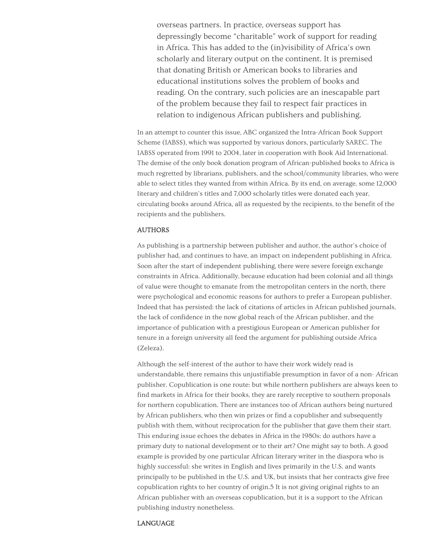overseas partners. In practice, overseas support has depressingly become "charitable" work of support for reading in Africa. This has added to the (in)visibility of Africa's own scholarly and literary output on the continent. It is premised that donating British or American books to libraries and educational institutions solves the problem of books and reading. On the contrary, such policies are an inescapable part of the problem because they fail to respect fair practices in relation to indigenous African publishers and publishing.

In an attempt to counter this issue, ABC organized the Intra-African Book Support Scheme (IABSS), which was supported by various donors, particularly SAREC. The IABSS operated from 1991 to 2004, later in cooperation with Book Aid International. The demise of the only book donation program of African-published books to Africa is much regretted by librarians, publishers, and the school/community libraries, who were able to select titles they wanted from within Africa. By its end, on average, some 12,000 literary and children's titles and 7,000 scholarly titles were donated each year, circulating books around Africa, all as requested by the recipients, to the benefit of the recipients and the publishers.

#### AUTHORS

As publishing is a partnership between publisher and author, the author's choice of publisher had, and continues to have, an impact on independent publishing in Africa. Soon after the start of independent publishing, there were severe foreign exchange constraints in Africa. Additionally, because education had been colonial and all things of value were thought to emanate from the metropolitan centers in the north, there were psychological and economic reasons for authors to prefer a European publisher. Indeed that has persisted: the lack of citations of articles in African published journals, the lack of confidence in the now global reach of the African publisher, and the importance of publication with a prestigious European or American publisher for tenure in a foreign university all feed the argument for publishing outside Africa (Zeleza).

Although the self-interest of the author to have their work widely read is understandable, there remains this unjustifiable presumption in favor of a non- African publisher. Copublication is one route: but while northern publishers are always keen to find markets in Africa for their books, they are rarely receptive to southern proposals for northern copublication. There are instances too of African authors being nurtured by African publishers, who then win prizes or find a copublisher and subsequently publish with them, without reciprocation for the publisher that gave them their start. This enduring issue echoes the debates in Africa in the 1980s: do authors have a primary duty to national development or to their art? One might say to both. A good example is provided by one particular African literary writer in the diaspora who is highly successful: she writes in English and lives primarily in the U.S. and wants principally to be published in the U.S. and UK, but insists that her contracts give free copublication rights to her country of origin.5 It is not giving original rights to an African publisher with an overseas copublication, but it is a support to the African publishing industry nonetheless.

#### **LANGUAGE**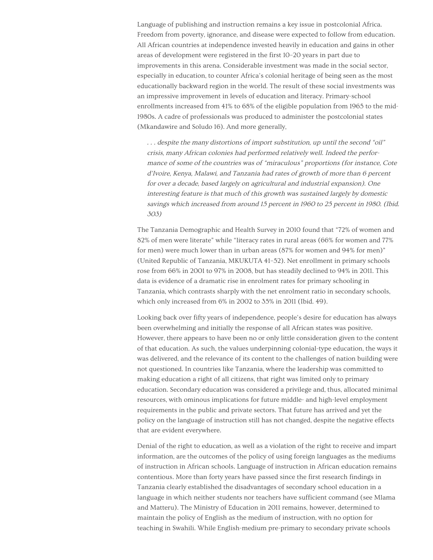Language of publishing and instruction remains a key issue in postcolonial Africa. Freedom from poverty, ignorance, and disease were expected to follow from education. All African countries at independence invested heavily in education and gains in other areas of development were registered in the first 10–20 years in part due to improvements in this arena. Considerable investment was made in the social sector, especially in education, to counter Africa's colonial heritage of being seen as the most educationally backward region in the world. The result of these social investments was an impressive improvement in levels of education and literacy. Primary-school enrollments increased from 41% to 68% of the eligible population from 1965 to the mid-1980s. A cadre of professionals was produced to administer the postcolonial states (Mkandawire and Soludo 16). And more generally,

. . . despite the many distortions of import substitution, up until the second "oil" crisis, many African colonies had performed relatively well. Indeed the performance of some of the countries was of "miraculous" proportions (for instance, Cote d'Ivoire, Kenya, Malawi, and Tanzania had rates of growth of more than 6 percent for over a decade, based largely on agricultural and industrial expansion). One interesting feature is that much of this growth was sustained largely by domestic savings which increased from around 15 percent in 1960 to 25 percent in 1980. (Ibid. 303)

The Tanzania Demographic and Health Survey in 2010 found that "72% of women and 82% of men were literate" while "literacy rates in rural areas (66% for women and 77% for men) were much lower than in urban areas (87% for women and 94% for men)" (United Republic of Tanzania, MKUKUTA 41–52). Net enrollment in primary schools rose from 66% in 2001 to 97% in 2008, but has steadily declined to 94% in 2011. This data is evidence of a dramatic rise in enrolment rates for primary schooling in Tanzania, which contrasts sharply with the net enrolment ratio in secondary schools, which only increased from 6% in 2002 to 35% in 2011 (Ibid. 49).

Looking back over fifty years of independence, people's desire for education has always been overwhelming and initially the response of all African states was positive. However, there appears to have been no or only little consideration given to the content of that education. As such, the values underpinning colonial-type education, the ways it was delivered, and the relevance of its content to the challenges of nation building were not questioned. In countries like Tanzania, where the leadership was committed to making education a right of all citizens, that right was limited only to primary education. Secondary education was considered a privilege and, thus, allocated minimal resources, with ominous implications for future middle- and high-level employment requirements in the public and private sectors. That future has arrived and yet the policy on the language of instruction still has not changed, despite the negative effects that are evident everywhere.

Denial of the right to education, as well as a violation of the right to receive and impart information, are the outcomes of the policy of using foreign languages as the mediums of instruction in African schools. Language of instruction in African education remains contentious. More than forty years have passed since the first research findings in Tanzania clearly established the disadvantages of secondary school education in a language in which neither students nor teachers have sufficient command (see Mlama and Matteru). The Ministry of Education in 2011 remains, however, determined to maintain the policy of English as the medium of instruction, with no option for teaching in Swahili. While English-medium pre-primary to secondary private schools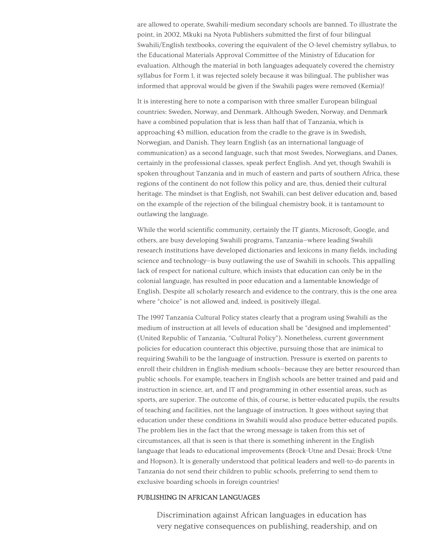are allowed to operate, Swahili-medium secondary schools are banned. To illustrate the point, in 2002, Mkuki na Nyota Publishers submitted the first of four bilingual Swahili/English textbooks, covering the equivalent of the O-level chemistry syllabus, to the Educational Materials Approval Committee of the Ministry of Education for evaluation. Although the material in both languages adequately covered the chemistry syllabus for Form 1, it was rejected solely because it was bilingual. The publisher was informed that approval would be given if the Swahili pages were removed (Kemia)!

It is interesting here to note a comparison with three smaller European bilingual countries: Sweden, Norway, and Denmark. Although Sweden, Norway, and Denmark have a combined population that is less than half that of Tanzania, which is approaching 43 million, education from the cradle to the grave is in Swedish, Norwegian, and Danish. They learn English (as an international language of communication) as a second language, such that most Swedes, Norwegians, and Danes, certainly in the professional classes, speak perfect English. And yet, though Swahili is spoken throughout Tanzania and in much of eastern and parts of southern Africa, these regions of the continent do not follow this policy and are, thus, denied their cultural heritage. The mindset is that English, not Swahili, can best deliver education and, based on the example of the rejection of the bilingual chemistry book, it is tantamount to outlawing the language.

While the world scientific community, certainly the IT giants, Microsoft, Google, and others, are busy developing Swahili programs, Tanzania—where leading Swahili research institutions have developed dictionaries and lexicons in many fields, including science and technology—is busy outlawing the use of Swahili in schools. This appalling lack of respect for national culture, which insists that education can only be in the colonial language, has resulted in poor education and a lamentable knowledge of English. Despite all scholarly research and evidence to the contrary, this is the one area where "choice" is not allowed and, indeed, is positively illegal.

The 1997 Tanzania Cultural Policy states clearly that a program using Swahili as the medium of instruction at all levels of education shall be "designed and implemented" (United Republic of Tanzania, "Cultural Policy"). Nonetheless, current government policies for education counteract this objective, pursuing those that are inimical to requiring Swahili to be the language of instruction. Pressure is exerted on parents to enroll their children in English-medium schools—because they are better resourced than public schools. For example, teachers in English schools are better trained and paid and instruction in science, art, and IT and programming in other essential areas, such as sports, are superior. The outcome of this, of course, is better-educated pupils, the results of teaching and facilities, not the language of instruction. It goes without saying that education under these conditions in Swahili would also produce better-educated pupils. The problem lies in the fact that the wrong message is taken from this set of circumstances, all that is seen is that there is something inherent in the English language that leads to educational improvements (Brock-Utne and Desai; Brock-Utne and Hopson). It is generally understood that political leaders and well-to-do parents in Tanzania do not send their children to public schools, preferring to send them to exclusive boarding schools in foreign countries!

#### PUBLISHING IN AFRICAN LANGUAGES

Discrimination against African languages in education has very negative consequences on publishing, readership, and on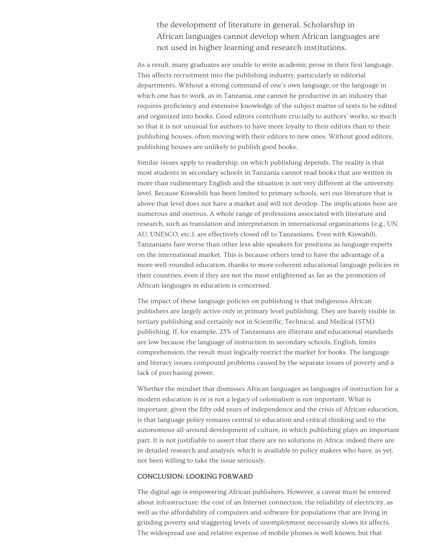### the development of literature in general. Scholarship in African languages cannot develop when African languages are not used in higher learning and research institutions.

As a result, many graduates are unable to write academic prose in their first language. This affects recruitment into the publishing industry, particularly in editorial departments. Without a strong command of one's own language, or the language in which one has to work, as in Tanzania, one cannot be productive in an industry that requires proficiency and extensive knowledge of the subject matter of texts to be edited and organized into books. Good editors contribute crucially to authors' works, so much so that it is not unusual for authors to have more loyalty to their editors than to their publishing houses, often moving with their editors to new ones. Without good editors, publishing houses are unlikely to publish good books.

Similar issues apply to readership, on which publishing depends. The reality is that most students in secondary schools in Tanzania cannot read books that are written in more than rudimentary English and the situation is not very different at the university level. Because Kiswahili has been limited to primary schools, seri ous literature that is above that level does not have a market and will not develop. The implications here are numerous and onerous. A whole range of professions associated with literature and research, such as translation and interpretation in international organizations (e.g., UN, AU, UNESCO, etc.), are effectively closed off to Tanzanians. Even with Kiswahili, Tanzanians fare worse than other less able speakers for positions as language experts on the international market. This is because others tend to have the advantage of a more well-rounded education, thanks to more coherent educational language policies in their countries, even if they are not the most enlightened as far as the promotion of African languages in education is concerned.

The impact of these language policies on publishing is that indigenous African publishers are largely active only in primary level publishing. They are barely visible in tertiary publishing and certainly not in Scientific, Technical, and Medical (STM) publishing. If, for example, 23% of Tanzanians are illiterate and educational standards are low because the language of instruction in secondary schools, English, limits comprehension, the result must logically restrict the market for books. The language and literacy issues compound problems caused by the separate issues of poverty and a lack of purchasing power.

Whether the mindset that dismisses African languages as languages of instruction for a modern education is or is not a legacy of colonialism is not important. What is important, given the fifty odd years of independence and the crisis of African education, is that language policy remains central to education and critical thinking and to the autonomous all-around development of culture, in which publishing plays an important part. It is not justifiable to assert that there are no solutions in Africa: indeed there are in detailed research and analysis, which is available to policy makers who have, as yet, not been willing to take the issue seriously.

#### CONCLUSION: LOOKING FORWARD

The digital age is empowering African publishers. However, a caveat must be entered about infrastructure: the cost of an Internet connection, the reliability of electricity, as well as the affordability of computers and software for populations that are living in grinding poverty and staggering levels of unemployment necessarily slows its affects. The widespread use and relative expense of mobile phones is well known, but that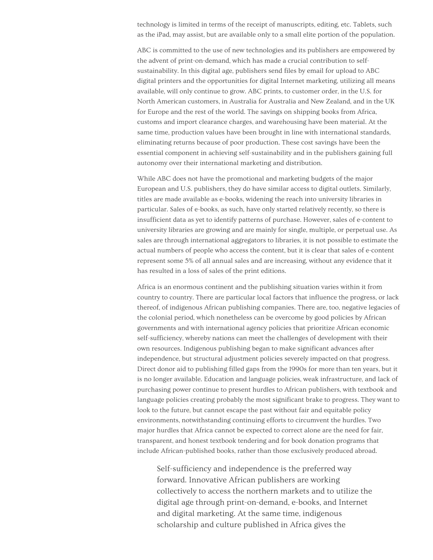technology is limited in terms of the receipt of manuscripts, editing, etc. Tablets, such as the iPad, may assist, but are available only to a small elite portion of the population.

ABC is committed to the use of new technologies and its publishers are empowered by the advent of print-on-demand, which has made a crucial contribution to selfsustainability. In this digital age, publishers send files by email for upload to ABC digital printers and the opportunities for digital Internet marketing, utilizing all means available, will only continue to grow. ABC prints, to customer order, in the U.S. for North American customers, in Australia for Australia and New Zealand, and in the UK for Europe and the rest of the world. The savings on shipping books from Africa, customs and import clearance charges, and warehousing have been material. At the same time, production values have been brought in line with international standards, eliminating returns because of poor production. These cost savings have been the essential component in achieving self-sustainability and in the publishers gaining full autonomy over their international marketing and distribution.

While ABC does not have the promotional and marketing budgets of the major European and U.S. publishers, they do have similar access to digital outlets. Similarly, titles are made available as e-books, widening the reach into university libraries in particular. Sales of e-books, as such, have only started relatively recently, so there is insufficient data as yet to identify patterns of purchase. However, sales of e-content to university libraries are growing and are mainly for single, multiple, or perpetual use. As sales are through international aggregators to libraries, it is not possible to estimate the actual numbers of people who access the content, but it is clear that sales of e-content represent some 5% of all annual sales and are increasing, without any evidence that it has resulted in a loss of sales of the print editions.

Africa is an enormous continent and the publishing situation varies within it from country to country. There are particular local factors that influence the progress, or lack thereof, of indigenous African publishing companies. There are, too, negative legacies of the colonial period, which nonetheless can be overcome by good policies by African governments and with international agency policies that prioritize African economic self-sufficiency, whereby nations can meet the challenges of development with their own resources. Indigenous publishing began to make significant advances after independence, but structural adjustment policies severely impacted on that progress. Direct donor aid to publishing filled gaps from the 1990s for more than ten years, but it is no longer available. Education and language policies, weak infrastructure, and lack of purchasing power continue to present hurdles to African publishers, with textbook and language policies creating probably the most significant brake to progress. They want to look to the future, but cannot escape the past without fair and equitable policy environments, notwithstanding continuing efforts to circumvent the hurdles. Two major hurdles that Africa cannot be expected to correct alone are the need for fair, transparent, and honest textbook tendering and for book donation programs that include African-published books, rather than those exclusively produced abroad.

Self-sufficiency and independence is the preferred way forward. Innovative African publishers are working collectively to access the northern markets and to utilize the digital age through print-on-demand, e-books, and Internet and digital marketing. At the same time, indigenous scholarship and culture published in Africa gives the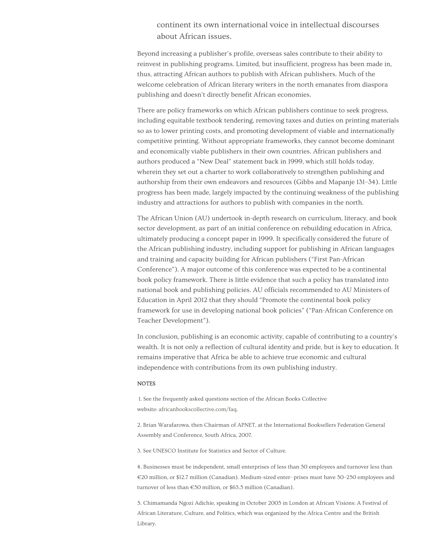#### continent its own international voice in intellectual discourses about African issues.

Beyond increasing a publisher's profile, overseas sales contribute to their ability to reinvest in publishing programs. Limited, but insufficient, progress has been made in, thus, attracting African authors to publish with African publishers. Much of the welcome celebration of African literary writers in the north emanates from diaspora publishing and doesn't directly benefit African economies.

There are policy frameworks on which African publishers continue to seek progress, including equitable textbook tendering, removing taxes and duties on printing materials so as to lower printing costs, and promoting development of viable and internationally competitive printing. Without appropriate frameworks, they cannot become dominant and economically viable publishers in their own countries. African publishers and authors produced a "New Deal" statement back in 1999, which still holds today, wherein they set out a charter to work collaboratively to strengthen publishing and authorship from their own endeavors and resources (Gibbs and Mapanje 131–34). Little progress has been made, largely impacted by the continuing weakness of the publishing industry and attractions for authors to publish with companies in the north.

The African Union (AU) undertook in-depth research on curriculum, literacy, and book sector development, as part of an initial conference on rebuilding education in Africa, ultimately producing a concept paper in 1999. It specifically considered the future of the African publishing industry, including support for publishing in African languages and training and capacity building for African publishers ("First Pan-African Conference"). A major outcome of this conference was expected to be a continental book policy framework. There is little evidence that such a policy has translated into national book and publishing policies. AU officials recommended to AU Ministers of Education in April 2012 that they should "Promote the continental book policy framework for use in developing national book policies" ("Pan-African Conference on Teacher Development").

In conclusion, publishing is an economic activity, capable of contributing to a country's wealth. It is not only a reflection of cultural identity and pride, but is key to education. It remains imperative that Africa be able to achieve true economic and cultural independence with contributions from its own publishing industry.

#### **NOTES**

1. See the frequently asked questions section of the African Books Collective website: [africanbookscollective.com/faq](http://www.africanbookscollective.com/faq).

2. Brian Warafarowa, then Chairman of APNET, at the International Booksellers Federation General Assembly and Conference, South Africa, 2007.

3. See UNESCO Institute for Statistics and Sector of Culture.

4. Businesses must be independent, small enterprises of less than 50 employees and turnover less than €20 million, or \$12.7 million (Canadian). Medium-sized enter- prises must have 50–250 employees and turnover of less than €50 million, or \$63.5 million (Canadian).

5. Chimamanda Ngozi Adichie, speaking in October 2005 in London at African Visions: A Festival of African Literature, Culture, and Politics, which was organized by the Africa Centre and the British Library.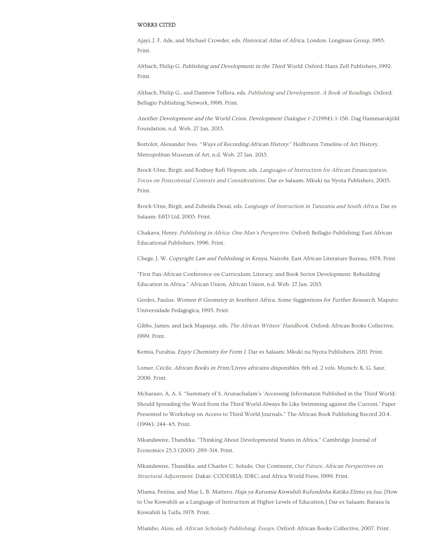#### WORKS CITED

Ajayi, J. F. Ade, and Michael Crowder, eds. Historical Atlas of Africa. London: Longman Group, 1985. Print.

Altbach, Philip G. Publishing and Development in the Third World. Oxford: Hans Zell Publishers, 1992. Print.

Altbach, Philip G., and Damtew Teffera, eds. Publishing [and Development. A Book of Readings](http://www.africanbookscollective.com/books/publishing-and-development). Oxford: Bellagio Publishing Network, 1998. Print.

Another Development and the World Crisis. Development Dialogue 1–2 (1984): 1–156. Dag Hammarskjöld Foundation, n.d. Web. 27 Jan. 2013.

Bortolot, Alexander Ives. "Ways of Recording African History." Heilbrunn Timeline of Art History. Metropolitan Museum of Art, n.d. Web. 27 Jan. 2013.

[Brock-Utne, Birgit, and Rodney Kofi Hopson, eds.](http://www.africanbookscollective.com/books/languages-of-instruction-for-african-emancipation) Languages of Instruction for African Emancipation. Focus on Postcolonial Contexts and Considerations. Dar es Salaam: Mkuki na Nyota Publishers, 2005. Print.

Brock-Utne, Birgit, and Zubeida Desai, eds. Language [of Instruction in Tanzania and South Africa](http://www.africanbookscollective.com/books/language-of-instruction-in-tanzania-and-south-africa). Dar es Salaam: E&D Ltd, 2003. Print.

Chakava, Henry. Publishing in Africa: [One Man's Perspective](http://www.africanbookscollective.com/books/publishing-in-africa). Oxford: Bellagio Publishing; East African Educational Publishers, 1996. Print.

Chege, J. W. Copyright Law and Publishing in Kenya. Nairobi: East African Literature Bureau, 1978. Print.

"First Pan-African Conference on Curriculum, Literacy, and Book Sector Development: Rebuilding Education in Africa." African Union. African Union, n.d. Web. 27 Jan. 2013.

Gerdes, Paulus. Women & Geometry in Southern Africa. Some Suggestions for Further Research. Maputo: Universidade Pedagogica, 1995. Print.

Gibbs, James, and Jack Mapanje, eds. The [African Writers' Handbook](http://www.africanbookscollective.com/books/the-african-writers-handbook). Oxford: African Books Collective, 1999. Print.

Kemia, Furahia. Enjoy Chemistry for Form 1. Dar es Salaam: Mkuki na Nyota Publishers, 2011. Print.

Lomer, Cécile. African Books in Print/Livres africains disponibles. 6th ed. 2 vols. Munich: K. G. Saur, 2006. Print.

Mcharazo, A. A. S. "Summary of S. Arunachalam's 'Accessing Information Published in the Third World: Should Spreading the Word from the Third World Always Be Like Swimming against the Current.' Paper Presented to Workshop on Access to Third World Journals." The African Book Publishing Record 20.4. (1994): 244–45. Print.

Mkandawire, Thandika. "Thinking About Developmental States in Africa." Cambridge Journal of Economics 25.3 (2001): 289–314. Print.

[Mkandawire, Thandika, and Charles C. Soludo. Our Continent,](http://www.africanbookscollective.com/books/our-continent-our-future) Our Future. African Perspectives on Structural Adjustment. Dakar: CODESRIA; IDRC; and Africa World Press, 1999. Print.

Mlama, Penina, and May L. B. Matteru. Haja ya Kutumia Kiswahili Kufundisha Katika Elimu ya Juu. [How to Use Kiswahili as a Language of Instruction at Higher Levels of Education.] Dar es Salaam: Baraza la Kiswahili la Taifa, 1978. Print.

Mlambo, Alois, ed. African [Scholarly Publishing. Essays](http://www.africanbookscollective.com/books/african-scholarly-publishing.-essays). Oxford: African Books Collective, 2007. Print.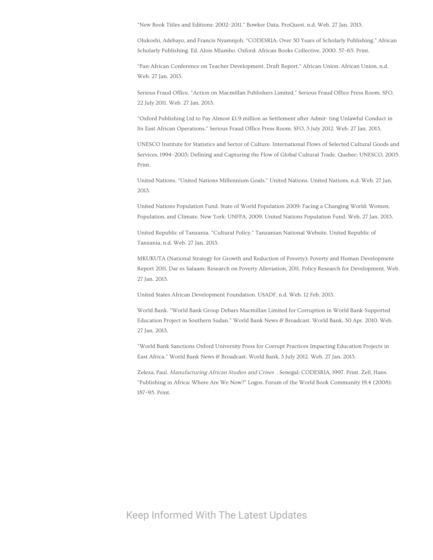"New Book Titles and Editions: 2002–2011." Bowker Data. ProQuest, n.d. Web. 27 Jan. 2013.

Olukoshi, Adebayo, and Francis Nyamnjoh. "CODESRIA: Over 30 Years of Scholarly Publishing." African Scholarly Publishing. Ed. Alois Mlambo. Oxford: African Books Collective, 2000. 57–65. Print.

"Pan-African Conference on Teacher Development. Draft Report." African Union. African Union, n.d. Web. 27 Jan. 2013.

Serious Fraud Office. "Action on Macmillan Publishers Limited." Serious Fraud Office Press Room. SFO, 22 July 2011. Web. 27 Jan. 2013.

"Oxford Publishing Ltd to Pay Almost £1.9 million as Settlement after Admit- ting Unlawful Conduct in Its East African Operations." Serious Fraud Office Press Room. SFO, 3 July 2012. Web. 27 Jan. 2013.

UNESCO Institute for Statistics and Sector of Culture. International Flows of Selected Cultural Goods and Services, 1994–2003: Defining and Capturing the Flow of Global Cultural Trade. Quebec: UNESCO, 2005. Print.

United Nations. "United Nations Millennium Goals." United Nations. United Nations, n.d. Web. 27 Jan. 2013.

United Nations Population Fund. State of World Population 2009: Facing a Changing World: Women, Population, and Climate. New York: UNFPA, 2009. United Nations Population Fund. Web. 27 Jan. 2013.

United Republic of Tanzania. "Cultural Policy." Tanzanian National Website. United Republic of Tanzania, n.d. Web. 27 Jan. 2013.

MKUKUTA (National Strategy for Growth and Reduction of Poverty): Poverty and Human Development Report 2011. Dar es Salaam: Research on Poverty Alleviation, 2011. Policy Research for Development. Web. 27 Jan. 2013.

United States African Development Foundation. USADF, n.d. Web. 12 Feb. 2013.

World Bank. "World Bank Group Debars Macmillan Limited for Corruption in World Bank-Supported Education Project in Southern Sudan." World Bank News & Broadcast. World Bank, 30 Apr. 2010. Web. 27 Jan. 2013.

"World Bank Sanctions Oxford University Press for Corrupt Practices Impacting Education Projects in East Africa." World Bank News & Broadcast. World Bank, 3 July 2012. Web. 27 Jan. 2013.

Zeleza, Paul. Manufacturing [African Studies and Crises](http://www.africanbookscollective.com/books/manufacturing-african-studies-and-crises) [.](http://www.africanbookscollective.com/books/manufacturing-african-studies-and-crises) Senegal: CODESRIA, 1997. Print. Zell, Hans. "Publishing in Africa: Where Are We Now?" Logos. Forum of the World Book Community 19.4 (2008): 187–95. Print.